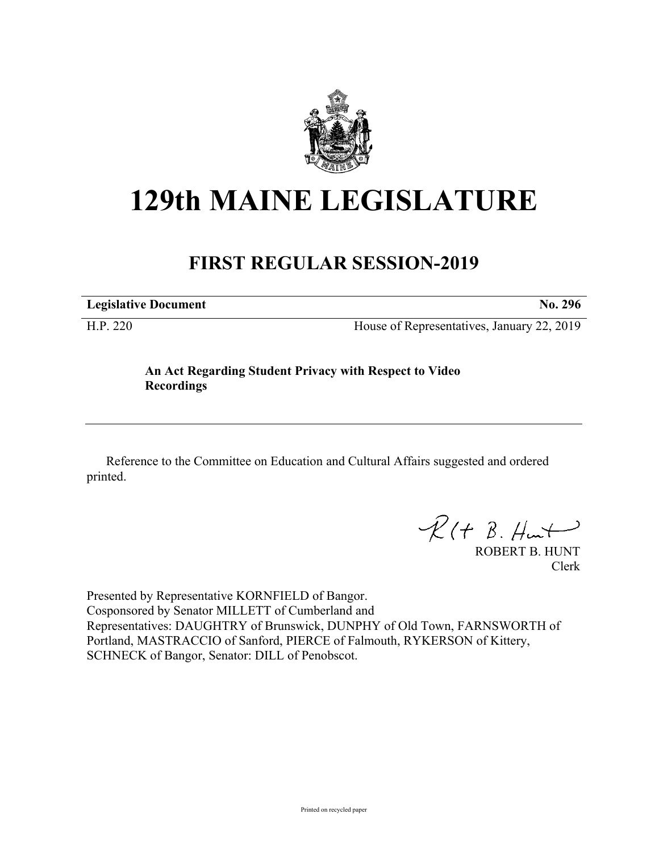

## **129th MAINE LEGISLATURE**

## **FIRST REGULAR SESSION-2019**

**Legislative Document No. 296**

H.P. 220 House of Representatives, January 22, 2019

**An Act Regarding Student Privacy with Respect to Video Recordings**

Reference to the Committee on Education and Cultural Affairs suggested and ordered printed.

 $R(H B. H<sub>un</sub>+)$ 

ROBERT B. HUNT Clerk

Presented by Representative KORNFIELD of Bangor. Cosponsored by Senator MILLETT of Cumberland and Representatives: DAUGHTRY of Brunswick, DUNPHY of Old Town, FARNSWORTH of Portland, MASTRACCIO of Sanford, PIERCE of Falmouth, RYKERSON of Kittery, SCHNECK of Bangor, Senator: DILL of Penobscot.